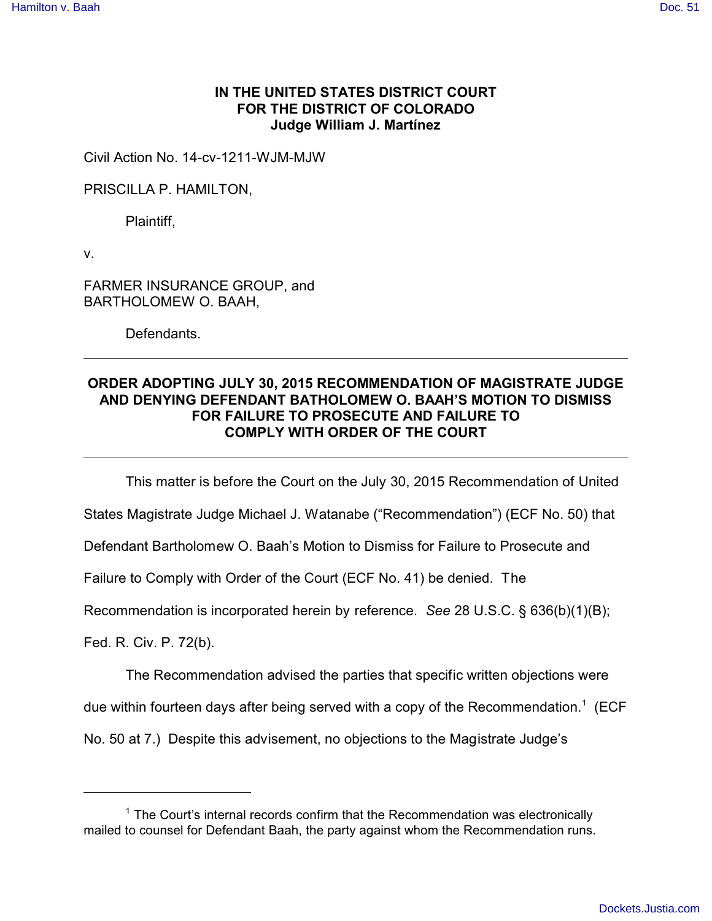## **IN THE UNITED STATES DISTRICT COURT FOR THE DISTRICT OF COLORADO Judge William J. Martínez**

Civil Action No. 14-cv-1211-WJM-MJW

PRISCILLA P. HAMILTON,

Plaintiff,

v.

FARMER INSURANCE GROUP, and BARTHOLOMEW O. BAAH,

Defendants.

## **ORDER ADOPTING JULY 30, 2015 RECOMMENDATION OF MAGISTRATE JUDGE AND DENYING DEFENDANT BATHOLOMEW O. BAAH'S MOTION TO DISMISS FOR FAILURE TO PROSECUTE AND FAILURE TO COMPLY WITH ORDER OF THE COURT**

This matter is before the Court on the July 30, 2015 Recommendation of United

States Magistrate Judge Michael J. Watanabe ("Recommendation") (ECF No. 50) that

Defendant Bartholomew O. Baah's Motion to Dismiss for Failure to Prosecute and

Failure to Comply with Order of the Court (ECF No. 41) be denied. The

Recommendation is incorporated herein by reference. *See* 28 U.S.C. § 636(b)(1)(B);

Fed. R. Civ. P. 72(b).

The Recommendation advised the parties that specific written objections were

due within fourteen days after being served with a copy of the Recommendation.<sup>1</sup> (ECF

No. 50 at 7.) Despite this advisement, no objections to the Magistrate Judge's

<sup>&</sup>lt;sup>1</sup> The Court's internal records confirm that the Recommendation was electronically mailed to counsel for Defendant Baah, the party against whom the Recommendation runs.